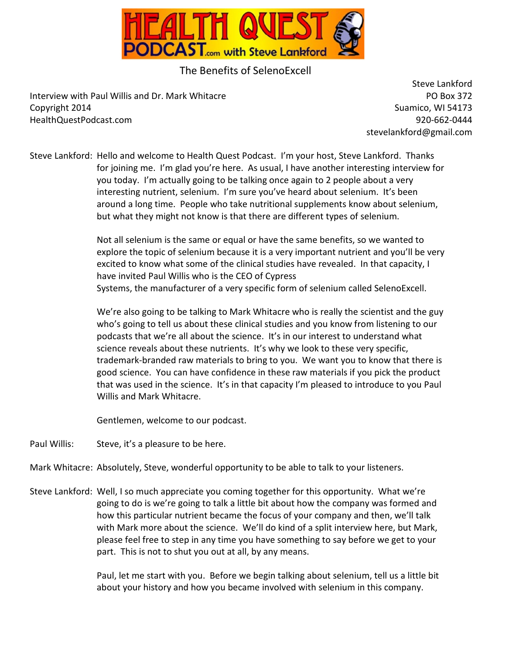

## The Benefits of SelenoExcell

Interview with Paul Willis and Dr. Mark Whitacre **Property and Contact Automobile Contact Po Box 372** Copyright 2014 **Suamico, WI 54173** Suamico, WI 54173 HealthQuestPodcast.com 920-662-0444

 Steve Lankford stevelankford@gmail.com

Steve Lankford: Hello and welcome to Health Quest Podcast. I'm your host, Steve Lankford. Thanks for joining me. I'm glad you're here. As usual, I have another interesting interview for you today. I'm actually going to be talking once again to 2 people about a very interesting nutrient, selenium. I'm sure you've heard about selenium. It's been around a long time. People who take nutritional supplements know about selenium, but what they might not know is that there are different types of selenium.

> Not all selenium is the same or equal or have the same benefits, so we wanted to explore the topic of selenium because it is a very important nutrient and you'll be very excited to know what some of the clinical studies have revealed. In that capacity, I have invited Paul Willis who is the CEO of Cypress Systems, the manufacturer of a very specific form of selenium called SelenoExcell.

> We're also going to be talking to Mark Whitacre who is really the scientist and the guy who's going to tell us about these clinical studies and you know from listening to our podcasts that we're all about the science. It's in our interest to understand what science reveals about these nutrients. It's why we look to these very specific, trademark-branded raw materials to bring to you. We want you to know that there is good science. You can have confidence in these raw materials if you pick the product that was used in the science. It's in that capacity I'm pleased to introduce to you Paul Willis and Mark Whitacre.

Gentlemen, welcome to our podcast.

Paul Willis: Steve, it's a pleasure to be here.

Mark Whitacre: Absolutely, Steve, wonderful opportunity to be able to talk to your listeners.

Steve Lankford: Well, I so much appreciate you coming together for this opportunity. What we're going to do is we're going to talk a little bit about how the company was formed and how this particular nutrient became the focus of your company and then, we'll talk with Mark more about the science. We'll do kind of a split interview here, but Mark, please feel free to step in any time you have something to say before we get to your part. This is not to shut you out at all, by any means.

> Paul, let me start with you. Before we begin talking about selenium, tell us a little bit about your history and how you became involved with selenium in this company.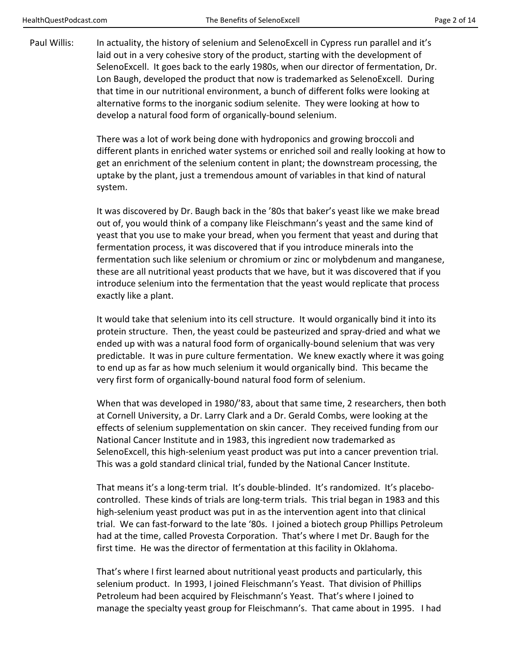Paul Willis: In actuality, the history of selenium and SelenoExcell in Cypress run parallel and it's laid out in a very cohesive story of the product, starting with the development of SelenoExcell. It goes back to the early 1980s, when our director of fermentation, Dr. Lon Baugh, developed the product that now is trademarked as SelenoExcell. During that time in our nutritional environment, a bunch of different folks were looking at alternative forms to the inorganic sodium selenite. They were looking at how to develop a natural food form of organically-bound selenium.

> There was a lot of work being done with hydroponics and growing broccoli and different plants in enriched water systems or enriched soil and really looking at how to get an enrichment of the selenium content in plant; the downstream processing, the uptake by the plant, just a tremendous amount of variables in that kind of natural system.

> It was discovered by Dr. Baugh back in the '80s that baker's yeast like we make bread out of, you would think of a company like Fleischmann's yeast and the same kind of yeast that you use to make your bread, when you ferment that yeast and during that fermentation process, it was discovered that if you introduce minerals into the fermentation such like selenium or chromium or zinc or molybdenum and manganese, these are all nutritional yeast products that we have, but it was discovered that if you introduce selenium into the fermentation that the yeast would replicate that process exactly like a plant.

> It would take that selenium into its cell structure. It would organically bind it into its protein structure. Then, the yeast could be pasteurized and spray-dried and what we ended up with was a natural food form of organically-bound selenium that was very predictable. It was in pure culture fermentation. We knew exactly where it was going to end up as far as how much selenium it would organically bind. This became the very first form of organically-bound natural food form of selenium.

> When that was developed in 1980/'83, about that same time, 2 researchers, then both at Cornell University, a Dr. Larry Clark and a Dr. Gerald Combs, were looking at the effects of selenium supplementation on skin cancer. They received funding from our National Cancer Institute and in 1983, this ingredient now trademarked as SelenoExcell, this high-selenium yeast product was put into a cancer prevention trial. This was a gold standard clinical trial, funded by the National Cancer Institute.

 That means it's a long-term trial. It's double-blinded. It's randomized. It's placebocontrolled. These kinds of trials are long-term trials. This trial began in 1983 and this high-selenium yeast product was put in as the intervention agent into that clinical trial. We can fast-forward to the late '80s. I joined a biotech group Phillips Petroleum had at the time, called Provesta Corporation. That's where I met Dr. Baugh for the first time. He was the director of fermentation at this facility in Oklahoma.

 That's where I first learned about nutritional yeast products and particularly, this selenium product. In 1993, I joined Fleischmann's Yeast. That division of Phillips Petroleum had been acquired by Fleischmann's Yeast. That's where I joined to manage the specialty yeast group for Fleischmann's. That came about in 1995. I had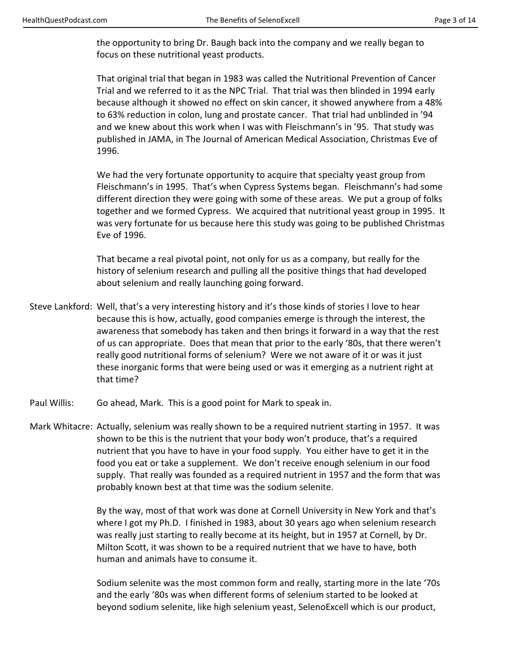the opportunity to bring Dr. Baugh back into the company and we really began to focus on these nutritional yeast products.

 That original trial that began in 1983 was called the Nutritional Prevention of Cancer Trial and we referred to it as the NPC Trial. That trial was then blinded in 1994 early because although it showed no effect on skin cancer, it showed anywhere from a 48% to 63% reduction in colon, lung and prostate cancer. That trial had unblinded in '94 and we knew about this work when I was with Fleischmann's in '95. That study was published in JAMA, in The Journal of American Medical Association, Christmas Eve of 1996.

 We had the very fortunate opportunity to acquire that specialty yeast group from Fleischmann's in 1995. That's when Cypress Systems began. Fleischmann's had some different direction they were going with some of these areas. We put a group of folks together and we formed Cypress. We acquired that nutritional yeast group in 1995. It was very fortunate for us because here this study was going to be published Christmas Eve of 1996.

 That became a real pivotal point, not only for us as a company, but really for the history of selenium research and pulling all the positive things that had developed about selenium and really launching going forward.

- Steve Lankford: Well, that's a very interesting history and it's those kinds of stories I love to hear because this is how, actually, good companies emerge is through the interest, the awareness that somebody has taken and then brings it forward in a way that the rest of us can appropriate. Does that mean that prior to the early '80s, that there weren't really good nutritional forms of selenium? Were we not aware of it or was it just these inorganic forms that were being used or was it emerging as a nutrient right at that time?
- Paul Willis: Go ahead, Mark. This is a good point for Mark to speak in.
- Mark Whitacre: Actually, selenium was really shown to be a required nutrient starting in 1957. It was shown to be this is the nutrient that your body won't produce, that's a required nutrient that you have to have in your food supply. You either have to get it in the food you eat or take a supplement. We don't receive enough selenium in our food supply. That really was founded as a required nutrient in 1957 and the form that was probably known best at that time was the sodium selenite.

 By the way, most of that work was done at Cornell University in New York and that's where I got my Ph.D. I finished in 1983, about 30 years ago when selenium research was really just starting to really become at its height, but in 1957 at Cornell, by Dr. Milton Scott, it was shown to be a required nutrient that we have to have, both human and animals have to consume it.

 Sodium selenite was the most common form and really, starting more in the late '70s and the early '80s was when different forms of selenium started to be looked at beyond sodium selenite, like high selenium yeast, SelenoExcell which is our product,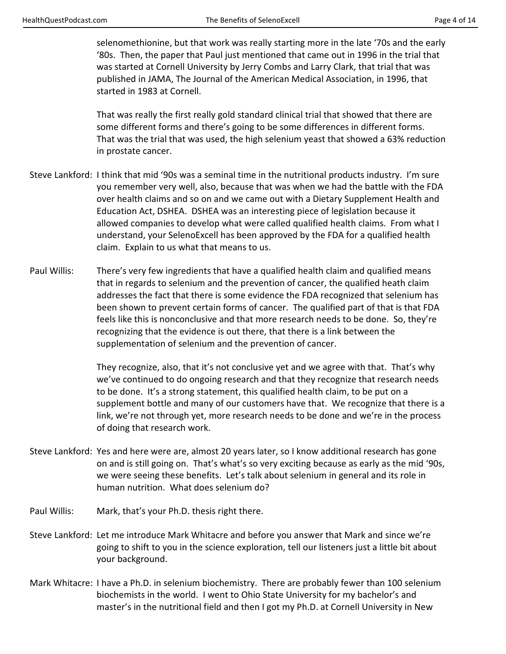selenomethionine, but that work was really starting more in the late '70s and the early '80s. Then, the paper that Paul just mentioned that came out in 1996 in the trial that was started at Cornell University by Jerry Combs and Larry Clark, that trial that was published in JAMA, The Journal of the American Medical Association, in 1996, that started in 1983 at Cornell.

 That was really the first really gold standard clinical trial that showed that there are some different forms and there's going to be some differences in different forms. That was the trial that was used, the high selenium yeast that showed a 63% reduction in prostate cancer.

- Steve Lankford: I think that mid '90s was a seminal time in the nutritional products industry. I'm sure you remember very well, also, because that was when we had the battle with the FDA over health claims and so on and we came out with a Dietary Supplement Health and Education Act, DSHEA. DSHEA was an interesting piece of legislation because it allowed companies to develop what were called qualified health claims. From what I understand, your SelenoExcell has been approved by the FDA for a qualified health claim. Explain to us what that means to us.
- Paul Willis: There's very few ingredients that have a qualified health claim and qualified means that in regards to selenium and the prevention of cancer, the qualified heath claim addresses the fact that there is some evidence the FDA recognized that selenium has been shown to prevent certain forms of cancer. The qualified part of that is that FDA feels like this is nonconclusive and that more research needs to be done. So, they're recognizing that the evidence is out there, that there is a link between the supplementation of selenium and the prevention of cancer.

 They recognize, also, that it's not conclusive yet and we agree with that. That's why we've continued to do ongoing research and that they recognize that research needs to be done. It's a strong statement, this qualified health claim, to be put on a supplement bottle and many of our customers have that. We recognize that there is a link, we're not through yet, more research needs to be done and we're in the process of doing that research work.

- Steve Lankford: Yes and here were are, almost 20 years later, so I know additional research has gone on and is still going on. That's what's so very exciting because as early as the mid '90s, we were seeing these benefits. Let's talk about selenium in general and its role in human nutrition. What does selenium do?
- Paul Willis: Mark, that's your Ph.D. thesis right there.
- Steve Lankford: Let me introduce Mark Whitacre and before you answer that Mark and since we're going to shift to you in the science exploration, tell our listeners just a little bit about your background.
- Mark Whitacre: I have a Ph.D. in selenium biochemistry. There are probably fewer than 100 selenium biochemists in the world. I went to Ohio State University for my bachelor's and master's in the nutritional field and then I got my Ph.D. at Cornell University in New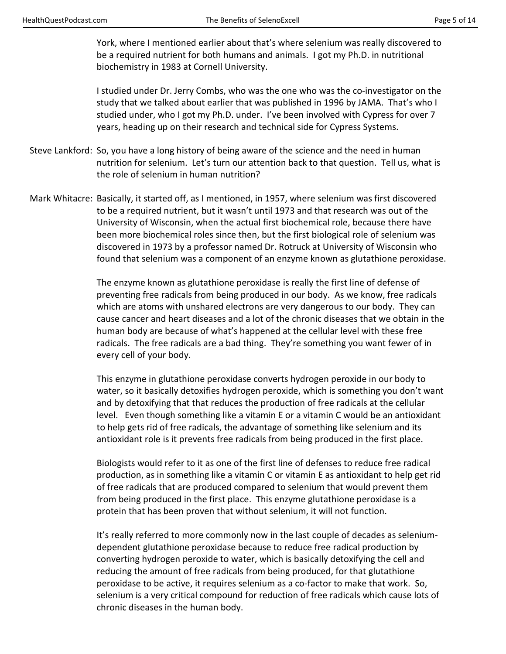York, where I mentioned earlier about that's where selenium was really discovered to be a required nutrient for both humans and animals. I got my Ph.D. in nutritional biochemistry in 1983 at Cornell University.

 I studied under Dr. Jerry Combs, who was the one who was the co-investigator on the study that we talked about earlier that was published in 1996 by JAMA. That's who I studied under, who I got my Ph.D. under. I've been involved with Cypress for over 7 years, heading up on their research and technical side for Cypress Systems.

- Steve Lankford: So, you have a long history of being aware of the science and the need in human nutrition for selenium. Let's turn our attention back to that question. Tell us, what is the role of selenium in human nutrition?
- Mark Whitacre: Basically, it started off, as I mentioned, in 1957, where selenium was first discovered to be a required nutrient, but it wasn't until 1973 and that research was out of the University of Wisconsin, when the actual first biochemical role, because there have been more biochemical roles since then, but the first biological role of selenium was discovered in 1973 by a professor named Dr. Rotruck at University of Wisconsin who found that selenium was a component of an enzyme known as glutathione peroxidase.

 The enzyme known as glutathione peroxidase is really the first line of defense of preventing free radicals from being produced in our body. As we know, free radicals which are atoms with unshared electrons are very dangerous to our body. They can cause cancer and heart diseases and a lot of the chronic diseases that we obtain in the human body are because of what's happened at the cellular level with these free radicals. The free radicals are a bad thing. They're something you want fewer of in every cell of your body.

 This enzyme in glutathione peroxidase converts hydrogen peroxide in our body to water, so it basically detoxifies hydrogen peroxide, which is something you don't want and by detoxifying that that reduces the production of free radicals at the cellular level. Even though something like a vitamin E or a vitamin C would be an antioxidant to help gets rid of free radicals, the advantage of something like selenium and its antioxidant role is it prevents free radicals from being produced in the first place.

 Biologists would refer to it as one of the first line of defenses to reduce free radical production, as in something like a vitamin C or vitamin E as antioxidant to help get rid of free radicals that are produced compared to selenium that would prevent them from being produced in the first place. This enzyme glutathione peroxidase is a protein that has been proven that without selenium, it will not function.

 It's really referred to more commonly now in the last couple of decades as seleniumdependent glutathione peroxidase because to reduce free radical production by converting hydrogen peroxide to water, which is basically detoxifying the cell and reducing the amount of free radicals from being produced, for that glutathione peroxidase to be active, it requires selenium as a co-factor to make that work. So, selenium is a very critical compound for reduction of free radicals which cause lots of chronic diseases in the human body.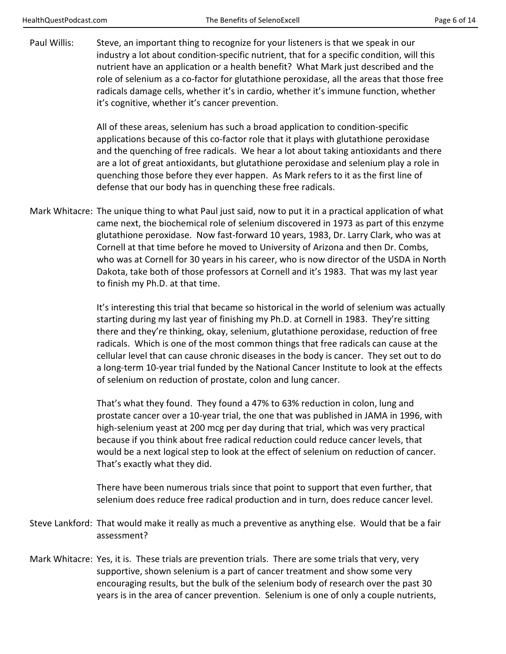Paul Willis: Steve, an important thing to recognize for your listeners is that we speak in our industry a lot about condition-specific nutrient, that for a specific condition, will this nutrient have an application or a health benefit? What Mark just described and the role of selenium as a co-factor for glutathione peroxidase, all the areas that those free radicals damage cells, whether it's in cardio, whether it's immune function, whether it's cognitive, whether it's cancer prevention.

> All of these areas, selenium has such a broad application to condition-specific applications because of this co-factor role that it plays with glutathione peroxidase and the quenching of free radicals. We hear a lot about taking antioxidants and there are a lot of great antioxidants, but glutathione peroxidase and selenium play a role in quenching those before they ever happen. As Mark refers to it as the first line of defense that our body has in quenching these free radicals.

Mark Whitacre: The unique thing to what Paul just said, now to put it in a practical application of what came next, the biochemical role of selenium discovered in 1973 as part of this enzyme glutathione peroxidase. Now fast-forward 10 years, 1983, Dr. Larry Clark, who was at Cornell at that time before he moved to University of Arizona and then Dr. Combs, who was at Cornell for 30 years in his career, who is now director of the USDA in North Dakota, take both of those professors at Cornell and it's 1983. That was my last year to finish my Ph.D. at that time.

> It's interesting this trial that became so historical in the world of selenium was actually starting during my last year of finishing my Ph.D. at Cornell in 1983. They're sitting there and they're thinking, okay, selenium, glutathione peroxidase, reduction of free radicals. Which is one of the most common things that free radicals can cause at the cellular level that can cause chronic diseases in the body is cancer. They set out to do a long-term 10-year trial funded by the National Cancer Institute to look at the effects of selenium on reduction of prostate, colon and lung cancer.

> That's what they found. They found a 47% to 63% reduction in colon, lung and prostate cancer over a 10-year trial, the one that was published in JAMA in 1996, with high-selenium yeast at 200 mcg per day during that trial, which was very practical because if you think about free radical reduction could reduce cancer levels, that would be a next logical step to look at the effect of selenium on reduction of cancer. That's exactly what they did.

 There have been numerous trials since that point to support that even further, that selenium does reduce free radical production and in turn, does reduce cancer level.

- Steve Lankford: That would make it really as much a preventive as anything else. Would that be a fair assessment?
- Mark Whitacre: Yes, it is. These trials are prevention trials. There are some trials that very, very supportive, shown selenium is a part of cancer treatment and show some very encouraging results, but the bulk of the selenium body of research over the past 30 years is in the area of cancer prevention. Selenium is one of only a couple nutrients,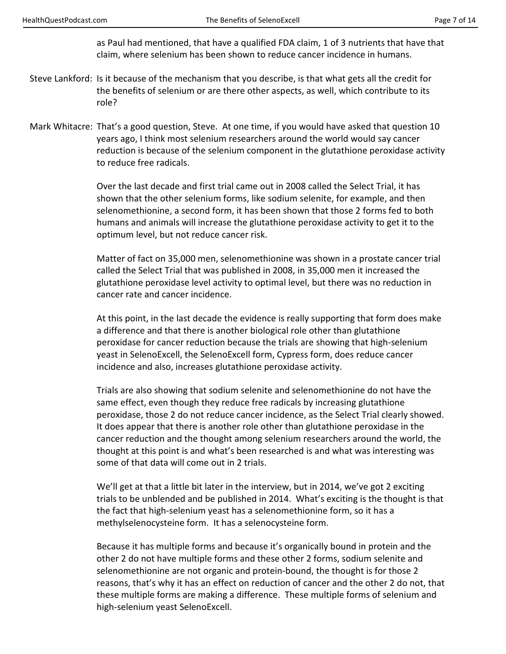as Paul had mentioned, that have a qualified FDA claim, 1 of 3 nutrients that have that claim, where selenium has been shown to reduce cancer incidence in humans.

- Steve Lankford: Is it because of the mechanism that you describe, is that what gets all the credit for the benefits of selenium or are there other aspects, as well, which contribute to its role?
- Mark Whitacre: That's a good question, Steve. At one time, if you would have asked that question 10 years ago, I think most selenium researchers around the world would say cancer reduction is because of the selenium component in the glutathione peroxidase activity to reduce free radicals.

 Over the last decade and first trial came out in 2008 called the Select Trial, it has shown that the other selenium forms, like sodium selenite, for example, and then selenomethionine, a second form, it has been shown that those 2 forms fed to both humans and animals will increase the glutathione peroxidase activity to get it to the optimum level, but not reduce cancer risk.

 Matter of fact on 35,000 men, selenomethionine was shown in a prostate cancer trial called the Select Trial that was published in 2008, in 35,000 men it increased the glutathione peroxidase level activity to optimal level, but there was no reduction in cancer rate and cancer incidence.

 At this point, in the last decade the evidence is really supporting that form does make a difference and that there is another biological role other than glutathione peroxidase for cancer reduction because the trials are showing that high-selenium yeast in SelenoExcell, the SelenoExcell form, Cypress form, does reduce cancer incidence and also, increases glutathione peroxidase activity.

 Trials are also showing that sodium selenite and selenomethionine do not have the same effect, even though they reduce free radicals by increasing glutathione peroxidase, those 2 do not reduce cancer incidence, as the Select Trial clearly showed. It does appear that there is another role other than glutathione peroxidase in the cancer reduction and the thought among selenium researchers around the world, the thought at this point is and what's been researched is and what was interesting was some of that data will come out in 2 trials.

 We'll get at that a little bit later in the interview, but in 2014, we've got 2 exciting trials to be unblended and be published in 2014. What's exciting is the thought is that the fact that high-selenium yeast has a selenomethionine form, so it has a methylselenocysteine form. It has a selenocysteine form.

 Because it has multiple forms and because it's organically bound in protein and the other 2 do not have multiple forms and these other 2 forms, sodium selenite and selenomethionine are not organic and protein-bound, the thought is for those 2 reasons, that's why it has an effect on reduction of cancer and the other 2 do not, that these multiple forms are making a difference. These multiple forms of selenium and high-selenium yeast SelenoExcell.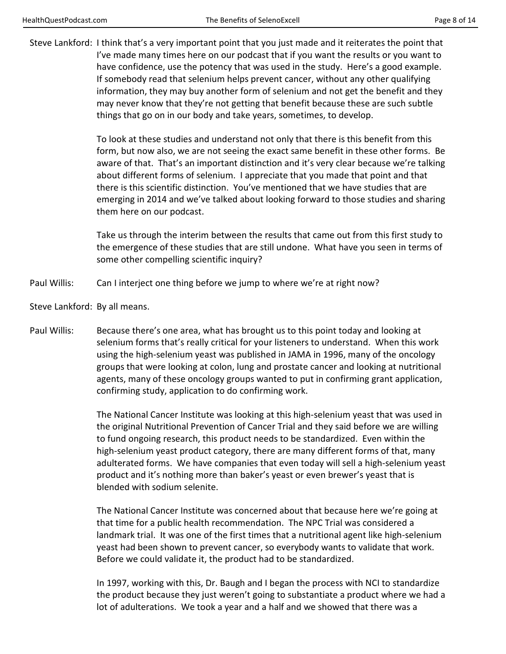Steve Lankford: I think that's a very important point that you just made and it reiterates the point that I've made many times here on our podcast that if you want the results or you want to have confidence, use the potency that was used in the study. Here's a good example. If somebody read that selenium helps prevent cancer, without any other qualifying information, they may buy another form of selenium and not get the benefit and they may never know that they're not getting that benefit because these are such subtle things that go on in our body and take years, sometimes, to develop.

> To look at these studies and understand not only that there is this benefit from this form, but now also, we are not seeing the exact same benefit in these other forms. Be aware of that. That's an important distinction and it's very clear because we're talking about different forms of selenium. I appreciate that you made that point and that there is this scientific distinction. You've mentioned that we have studies that are emerging in 2014 and we've talked about looking forward to those studies and sharing them here on our podcast.

> Take us through the interim between the results that came out from this first study to the emergence of these studies that are still undone. What have you seen in terms of some other compelling scientific inquiry?

Paul Willis: Can I interject one thing before we jump to where we're at right now?

Steve Lankford: By all means.

Paul Willis: Because there's one area, what has brought us to this point today and looking at selenium forms that's really critical for your listeners to understand. When this work using the high-selenium yeast was published in JAMA in 1996, many of the oncology groups that were looking at colon, lung and prostate cancer and looking at nutritional agents, many of these oncology groups wanted to put in confirming grant application, confirming study, application to do confirming work.

> The National Cancer Institute was looking at this high-selenium yeast that was used in the original Nutritional Prevention of Cancer Trial and they said before we are willing to fund ongoing research, this product needs to be standardized. Even within the high-selenium yeast product category, there are many different forms of that, many adulterated forms. We have companies that even today will sell a high-selenium yeast product and it's nothing more than baker's yeast or even brewer's yeast that is blended with sodium selenite.

 The National Cancer Institute was concerned about that because here we're going at that time for a public health recommendation. The NPC Trial was considered a landmark trial. It was one of the first times that a nutritional agent like high-selenium yeast had been shown to prevent cancer, so everybody wants to validate that work. Before we could validate it, the product had to be standardized.

 In 1997, working with this, Dr. Baugh and I began the process with NCI to standardize the product because they just weren't going to substantiate a product where we had a lot of adulterations. We took a year and a half and we showed that there was a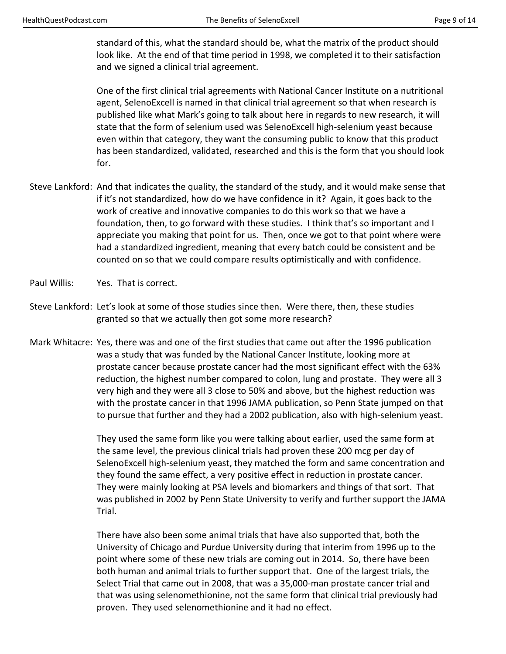standard of this, what the standard should be, what the matrix of the product should look like. At the end of that time period in 1998, we completed it to their satisfaction and we signed a clinical trial agreement.

 One of the first clinical trial agreements with National Cancer Institute on a nutritional agent, SelenoExcell is named in that clinical trial agreement so that when research is published like what Mark's going to talk about here in regards to new research, it will state that the form of selenium used was SelenoExcell high-selenium yeast because even within that category, they want the consuming public to know that this product has been standardized, validated, researched and this is the form that you should look for.

- Steve Lankford: And that indicates the quality, the standard of the study, and it would make sense that if it's not standardized, how do we have confidence in it? Again, it goes back to the work of creative and innovative companies to do this work so that we have a foundation, then, to go forward with these studies. I think that's so important and I appreciate you making that point for us. Then, once we got to that point where were had a standardized ingredient, meaning that every batch could be consistent and be counted on so that we could compare results optimistically and with confidence.
- Paul Willis: Yes. That is correct.
- Steve Lankford: Let's look at some of those studies since then. Were there, then, these studies granted so that we actually then got some more research?
- Mark Whitacre: Yes, there was and one of the first studies that came out after the 1996 publication was a study that was funded by the National Cancer Institute, looking more at prostate cancer because prostate cancer had the most significant effect with the 63% reduction, the highest number compared to colon, lung and prostate. They were all 3 very high and they were all 3 close to 50% and above, but the highest reduction was with the prostate cancer in that 1996 JAMA publication, so Penn State jumped on that to pursue that further and they had a 2002 publication, also with high-selenium yeast.

 They used the same form like you were talking about earlier, used the same form at the same level, the previous clinical trials had proven these 200 mcg per day of SelenoExcell high-selenium yeast, they matched the form and same concentration and they found the same effect, a very positive effect in reduction in prostate cancer. They were mainly looking at PSA levels and biomarkers and things of that sort. That was published in 2002 by Penn State University to verify and further support the JAMA Trial.

 There have also been some animal trials that have also supported that, both the University of Chicago and Purdue University during that interim from 1996 up to the point where some of these new trials are coming out in 2014. So, there have been both human and animal trials to further support that. One of the largest trials, the Select Trial that came out in 2008, that was a 35,000-man prostate cancer trial and that was using selenomethionine, not the same form that clinical trial previously had proven. They used selenomethionine and it had no effect.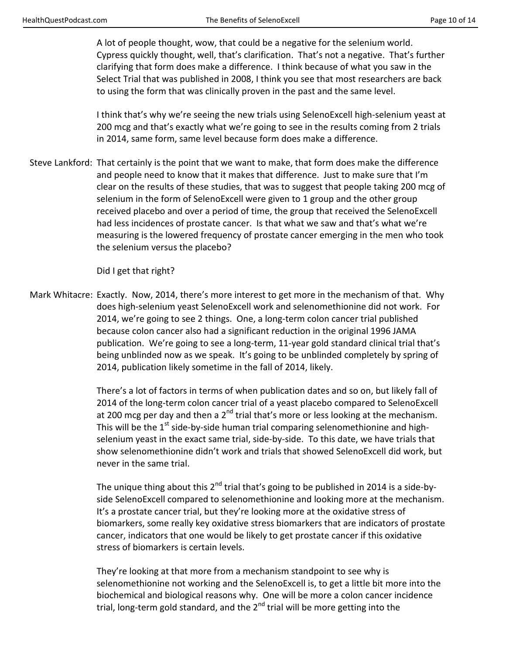A lot of people thought, wow, that could be a negative for the selenium world. Cypress quickly thought, well, that's clarification. That's not a negative. That's further clarifying that form does make a difference. I think because of what you saw in the Select Trial that was published in 2008, I think you see that most researchers are back to using the form that was clinically proven in the past and the same level.

 I think that's why we're seeing the new trials using SelenoExcell high-selenium yeast at 200 mcg and that's exactly what we're going to see in the results coming from 2 trials in 2014, same form, same level because form does make a difference.

Steve Lankford: That certainly is the point that we want to make, that form does make the difference and people need to know that it makes that difference. Just to make sure that I'm clear on the results of these studies, that was to suggest that people taking 200 mcg of selenium in the form of SelenoExcell were given to 1 group and the other group received placebo and over a period of time, the group that received the SelenoExcell had less incidences of prostate cancer. Is that what we saw and that's what we're measuring is the lowered frequency of prostate cancer emerging in the men who took the selenium versus the placebo?

Did I get that right?

Mark Whitacre: Exactly. Now, 2014, there's more interest to get more in the mechanism of that. Why does high-selenium yeast SelenoExcell work and selenomethionine did not work. For 2014, we're going to see 2 things. One, a long-term colon cancer trial published because colon cancer also had a significant reduction in the original 1996 JAMA publication. We're going to see a long-term, 11-year gold standard clinical trial that's being unblinded now as we speak. It's going to be unblinded completely by spring of 2014, publication likely sometime in the fall of 2014, likely.

> There's a lot of factors in terms of when publication dates and so on, but likely fall of 2014 of the long-term colon cancer trial of a yeast placebo compared to SelenoExcell at 200 mcg per day and then a  $2^{nd}$  trial that's more or less looking at the mechanism. This will be the  $1<sup>st</sup>$  side-by-side human trial comparing selenomethionine and highselenium yeast in the exact same trial, side-by-side. To this date, we have trials that show selenomethionine didn't work and trials that showed SelenoExcell did work, but never in the same trial.

> The unique thing about this  $2^{nd}$  trial that's going to be published in 2014 is a side-byside SelenoExcell compared to selenomethionine and looking more at the mechanism. It's a prostate cancer trial, but they're looking more at the oxidative stress of biomarkers, some really key oxidative stress biomarkers that are indicators of prostate cancer, indicators that one would be likely to get prostate cancer if this oxidative stress of biomarkers is certain levels.

 They're looking at that more from a mechanism standpoint to see why is selenomethionine not working and the SelenoExcell is, to get a little bit more into the biochemical and biological reasons why. One will be more a colon cancer incidence trial, long-term gold standard, and the  $2<sup>nd</sup>$  trial will be more getting into the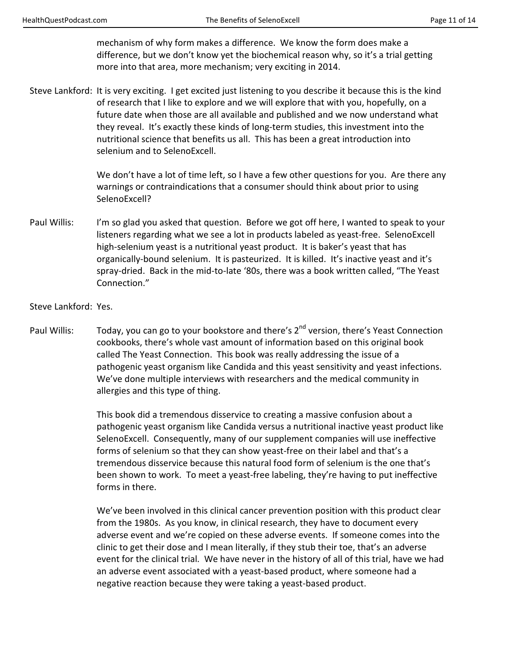mechanism of why form makes a difference. We know the form does make a difference, but we don't know yet the biochemical reason why, so it's a trial getting more into that area, more mechanism; very exciting in 2014.

Steve Lankford: It is very exciting. I get excited just listening to you describe it because this is the kind of research that I like to explore and we will explore that with you, hopefully, on a future date when those are all available and published and we now understand what they reveal. It's exactly these kinds of long-term studies, this investment into the nutritional science that benefits us all. This has been a great introduction into selenium and to SelenoExcell.

> We don't have a lot of time left, so I have a few other questions for you. Are there any warnings or contraindications that a consumer should think about prior to using SelenoExcell?

Paul Willis: I'm so glad you asked that question. Before we got off here, I wanted to speak to your listeners regarding what we see a lot in products labeled as yeast-free. SelenoExcell high-selenium yeast is a nutritional yeast product. It is baker's yeast that has organically-bound selenium. It is pasteurized. It is killed. It's inactive yeast and it's spray-dried. Back in the mid-to-late '80s, there was a book written called, "The Yeast Connection."

Steve Lankford: Yes.

Paul Willis: Today, you can go to your bookstore and there's 2<sup>nd</sup> version, there's Yeast Connection cookbooks, there's whole vast amount of information based on this original book called The Yeast Connection. This book was really addressing the issue of a pathogenic yeast organism like Candida and this yeast sensitivity and yeast infections. We've done multiple interviews with researchers and the medical community in allergies and this type of thing.

> This book did a tremendous disservice to creating a massive confusion about a pathogenic yeast organism like Candida versus a nutritional inactive yeast product like SelenoExcell. Consequently, many of our supplement companies will use ineffective forms of selenium so that they can show yeast-free on their label and that's a tremendous disservice because this natural food form of selenium is the one that's been shown to work. To meet a yeast-free labeling, they're having to put ineffective forms in there.

> We've been involved in this clinical cancer prevention position with this product clear from the 1980s. As you know, in clinical research, they have to document every adverse event and we're copied on these adverse events. If someone comes into the clinic to get their dose and I mean literally, if they stub their toe, that's an adverse event for the clinical trial. We have never in the history of all of this trial, have we had an adverse event associated with a yeast-based product, where someone had a negative reaction because they were taking a yeast-based product.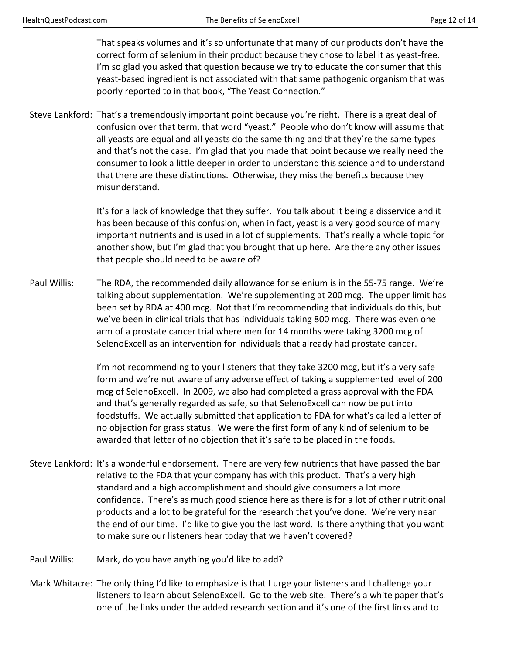That speaks volumes and it's so unfortunate that many of our products don't have the correct form of selenium in their product because they chose to label it as yeast-free. I'm so glad you asked that question because we try to educate the consumer that this yeast-based ingredient is not associated with that same pathogenic organism that was poorly reported to in that book, "The Yeast Connection."

Steve Lankford: That's a tremendously important point because you're right. There is a great deal of confusion over that term, that word "yeast." People who don't know will assume that all yeasts are equal and all yeasts do the same thing and that they're the same types and that's not the case. I'm glad that you made that point because we really need the consumer to look a little deeper in order to understand this science and to understand that there are these distinctions. Otherwise, they miss the benefits because they misunderstand.

> It's for a lack of knowledge that they suffer. You talk about it being a disservice and it has been because of this confusion, when in fact, yeast is a very good source of many important nutrients and is used in a lot of supplements. That's really a whole topic for another show, but I'm glad that you brought that up here. Are there any other issues that people should need to be aware of?

Paul Willis: The RDA, the recommended daily allowance for selenium is in the 55-75 range. We're talking about supplementation. We're supplementing at 200 mcg. The upper limit has been set by RDA at 400 mcg. Not that I'm recommending that individuals do this, but we've been in clinical trials that has individuals taking 800 mcg. There was even one arm of a prostate cancer trial where men for 14 months were taking 3200 mcg of SelenoExcell as an intervention for individuals that already had prostate cancer.

> I'm not recommending to your listeners that they take 3200 mcg, but it's a very safe form and we're not aware of any adverse effect of taking a supplemented level of 200 mcg of SelenoExcell. In 2009, we also had completed a grass approval with the FDA and that's generally regarded as safe, so that SelenoExcell can now be put into foodstuffs. We actually submitted that application to FDA for what's called a letter of no objection for grass status. We were the first form of any kind of selenium to be awarded that letter of no objection that it's safe to be placed in the foods.

- Steve Lankford: It's a wonderful endorsement. There are very few nutrients that have passed the bar relative to the FDA that your company has with this product. That's a very high standard and a high accomplishment and should give consumers a lot more confidence. There's as much good science here as there is for a lot of other nutritional products and a lot to be grateful for the research that you've done. We're very near the end of our time. I'd like to give you the last word. Is there anything that you want to make sure our listeners hear today that we haven't covered?
- Paul Willis: Mark, do you have anything you'd like to add?
- Mark Whitacre: The only thing I'd like to emphasize is that I urge your listeners and I challenge your listeners to learn about SelenoExcell. Go to the web site. There's a white paper that's one of the links under the added research section and it's one of the first links and to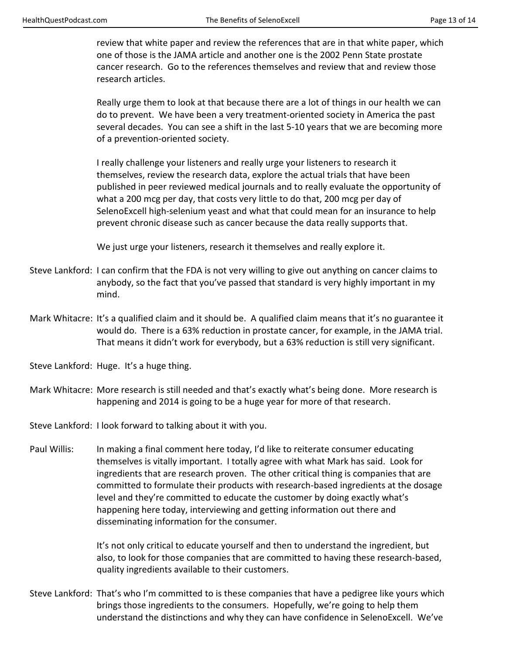review that white paper and review the references that are in that white paper, which one of those is the JAMA article and another one is the 2002 Penn State prostate cancer research. Go to the references themselves and review that and review those research articles.

 Really urge them to look at that because there are a lot of things in our health we can do to prevent. We have been a very treatment-oriented society in America the past several decades. You can see a shift in the last 5-10 years that we are becoming more of a prevention-oriented society.

 I really challenge your listeners and really urge your listeners to research it themselves, review the research data, explore the actual trials that have been published in peer reviewed medical journals and to really evaluate the opportunity of what a 200 mcg per day, that costs very little to do that, 200 mcg per day of SelenoExcell high-selenium yeast and what that could mean for an insurance to help prevent chronic disease such as cancer because the data really supports that.

We just urge your listeners, research it themselves and really explore it.

- Steve Lankford: I can confirm that the FDA is not very willing to give out anything on cancer claims to anybody, so the fact that you've passed that standard is very highly important in my mind.
- Mark Whitacre: It's a qualified claim and it should be. A qualified claim means that it's no guarantee it would do. There is a 63% reduction in prostate cancer, for example, in the JAMA trial. That means it didn't work for everybody, but a 63% reduction is still very significant.

Steve Lankford: Huge. It's a huge thing.

Mark Whitacre: More research is still needed and that's exactly what's being done. More research is happening and 2014 is going to be a huge year for more of that research.

Steve Lankford: I look forward to talking about it with you.

Paul Willis: In making a final comment here today, I'd like to reiterate consumer educating themselves is vitally important. I totally agree with what Mark has said. Look for ingredients that are research proven. The other critical thing is companies that are committed to formulate their products with research-based ingredients at the dosage level and they're committed to educate the customer by doing exactly what's happening here today, interviewing and getting information out there and disseminating information for the consumer.

> It's not only critical to educate yourself and then to understand the ingredient, but also, to look for those companies that are committed to having these research-based, quality ingredients available to their customers.

Steve Lankford: That's who I'm committed to is these companies that have a pedigree like yours which brings those ingredients to the consumers. Hopefully, we're going to help them understand the distinctions and why they can have confidence in SelenoExcell. We've